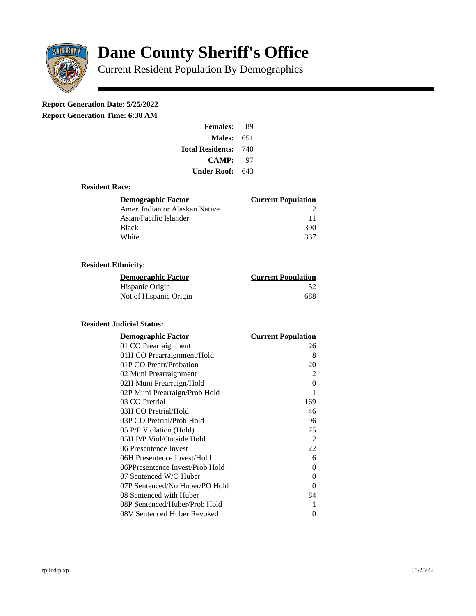

# **Dane County Sheriff's Office**

Current Resident Population By Demographics

# **Report Generation Date: 5/25/2022**

**Report Generation Time: 6:30 AM** 

| <b>Females:</b>         | 89  |
|-------------------------|-----|
| Males:                  | 651 |
| <b>Total Residents:</b> | 740 |
| <b>CAMP:</b>            | 97  |
| Under Roof:             | 643 |

# **Resident Race:**

| Demographic Factor             | <b>Current Population</b> |
|--------------------------------|---------------------------|
| Amer. Indian or Alaskan Native |                           |
| Asian/Pacific Islander         | 11                        |
| <b>Black</b>                   | 390                       |
| White                          | 337                       |

# **Resident Ethnicity:**

| <u> Demographic Factor</u> | <b>Current Population</b> |
|----------------------------|---------------------------|
| Hispanic Origin            | .52                       |
| Not of Hispanic Origin     | 688                       |

#### **Resident Judicial Status:**

| <b>Demographic Factor</b>       | <b>Current Population</b> |
|---------------------------------|---------------------------|
| 01 CO Prearraignment            | 26                        |
| 01H CO Prearraignment/Hold      | 8                         |
| 01P CO Prearr/Probation         | 20                        |
| 02 Muni Prearraignment          | $\overline{2}$            |
| 02H Muni Prearraign/Hold        |                           |
| 02P Muni Prearraign/Prob Hold   | 1                         |
| 03 CO Pretrial                  | 169                       |
| 03H CO Pretrial/Hold            | 46                        |
| 03P CO Pretrial/Prob Hold       | 96                        |
| 05 P/P Violation (Hold)         | 75                        |
| 05H P/P Viol/Outside Hold       | 2                         |
| 06 Presentence Invest           | 22                        |
| 06H Presentence Invest/Hold     | 6                         |
| 06PPresentence Invest/Prob Hold | 0                         |
| 07 Sentenced W/O Huber          | 0                         |
| 07P Sentenced/No Huber/PO Hold  | 0                         |
| 08 Sentenced with Huber         | 84                        |
| 08P Sentenced/Huber/Prob Hold   | 1                         |
| 08V Sentenced Huber Revoked     | 0                         |